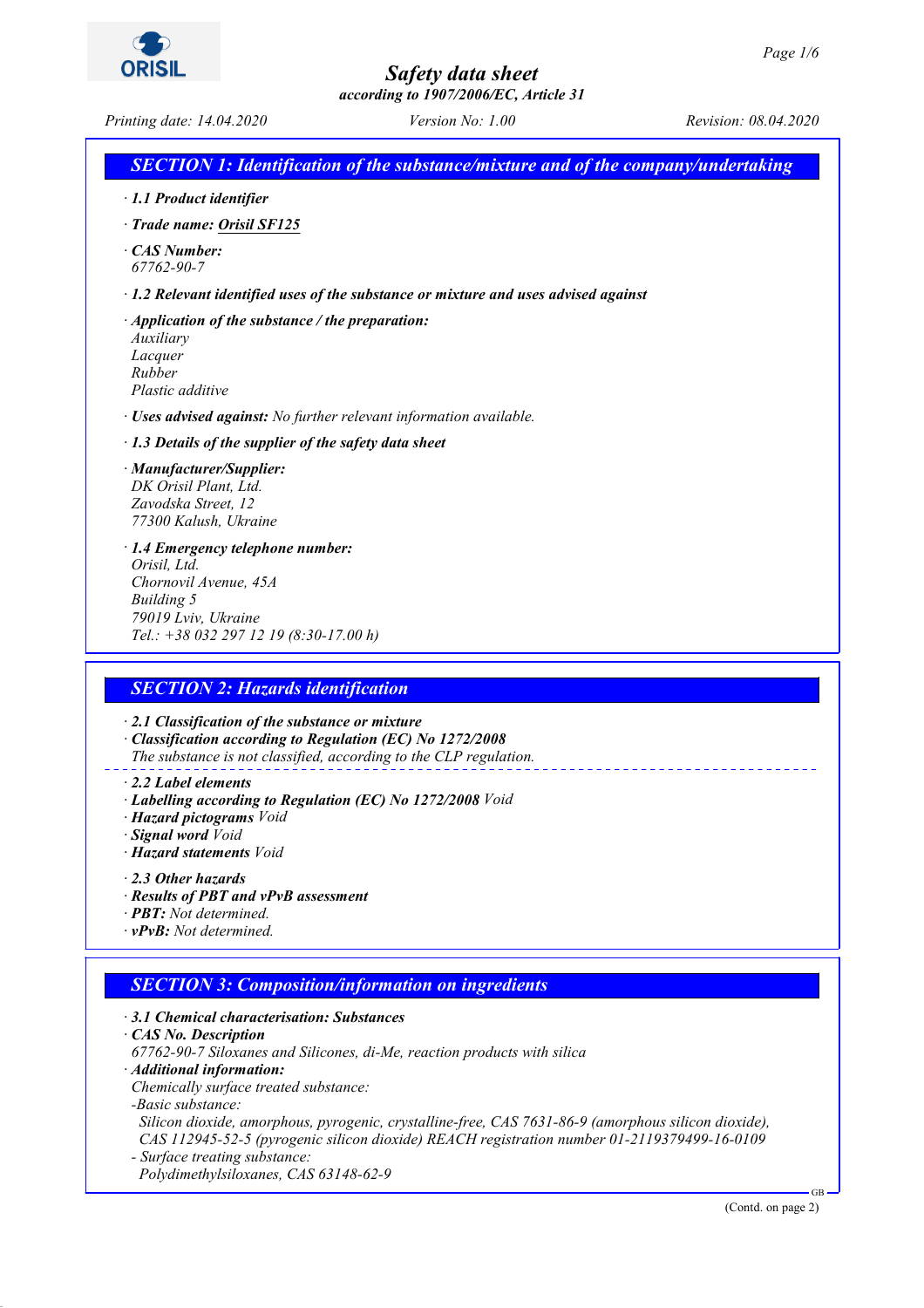*according to 1907/2006/EC, Article 31*

*Printing date: 14.04.2020 Version No: 1.00 Revision: 08.04.2020*

### *SECTION 1: Identification of the substance/mixture and of the company/undertaking*

- *· 1.1 Product identifier*
- *· Trade name: Orisil SF125*
- *· CAS Number: 67762-90-7*
- *· 1.2 Relevant identified uses of the substance or mixture and uses advised against*
- *· Application of the substance / the preparation: Auxiliary Lacquer Rubber Plastic additive*
- *· Uses advised against: No further relevant information available.*
- *· 1.3 Details of the supplier of the safety data sheet*
- *· Manufacturer/Supplier: DK Orisil Plant, Ltd. Zavodska Street, 12 77300 Kalush, Ukraine*
- *· 1.4 Emergency telephone number: Orisil, Ltd. Chornovil Avenue, 45A Building 5 79019 Lviv, Ukraine Tel.: +38 032 297 12 19 (8:30-17.00 h)*

### *SECTION 2: Hazards identification*

*· 2.1 Classification of the substance or mixture*

- *· Classification according to Regulation (EC) No 1272/2008*
- *The substance is not classified, according to the CLP regulation.*
- *· 2.2 Label elements*
- *· Labelling according to Regulation (EC) No 1272/2008 Void*
- *· Hazard pictograms Void*
- *· Signal word Void*
- *· Hazard statements Void*
- *· 2.3 Other hazards*
- *· Results of PBT and vPvB assessment*
- *· PBT: Not determined.*
- *· vPvB: Not determined.*

### *SECTION 3: Composition/information on ingredients*

- *· 3.1 Chemical characterisation: Substances*
- *· CAS No. Description*
- *67762-90-7 Siloxanes and Silicones, di-Me, reaction products with silica*
- *· Additional information:*
- *Chemically surface treated substance:*
- *-Basic substance:*

 *Silicon dioxide, amorphous, pyrogenic, crystalline-free, CAS 7631-86-9 (amorphous silicon dioxide), CAS 112945-52-5 (pyrogenic silicon dioxide) REACH registration number 01-2119379499-16-0109*

*- Surface treating substance: Polydimethylsiloxanes, CAS 63148-62-9*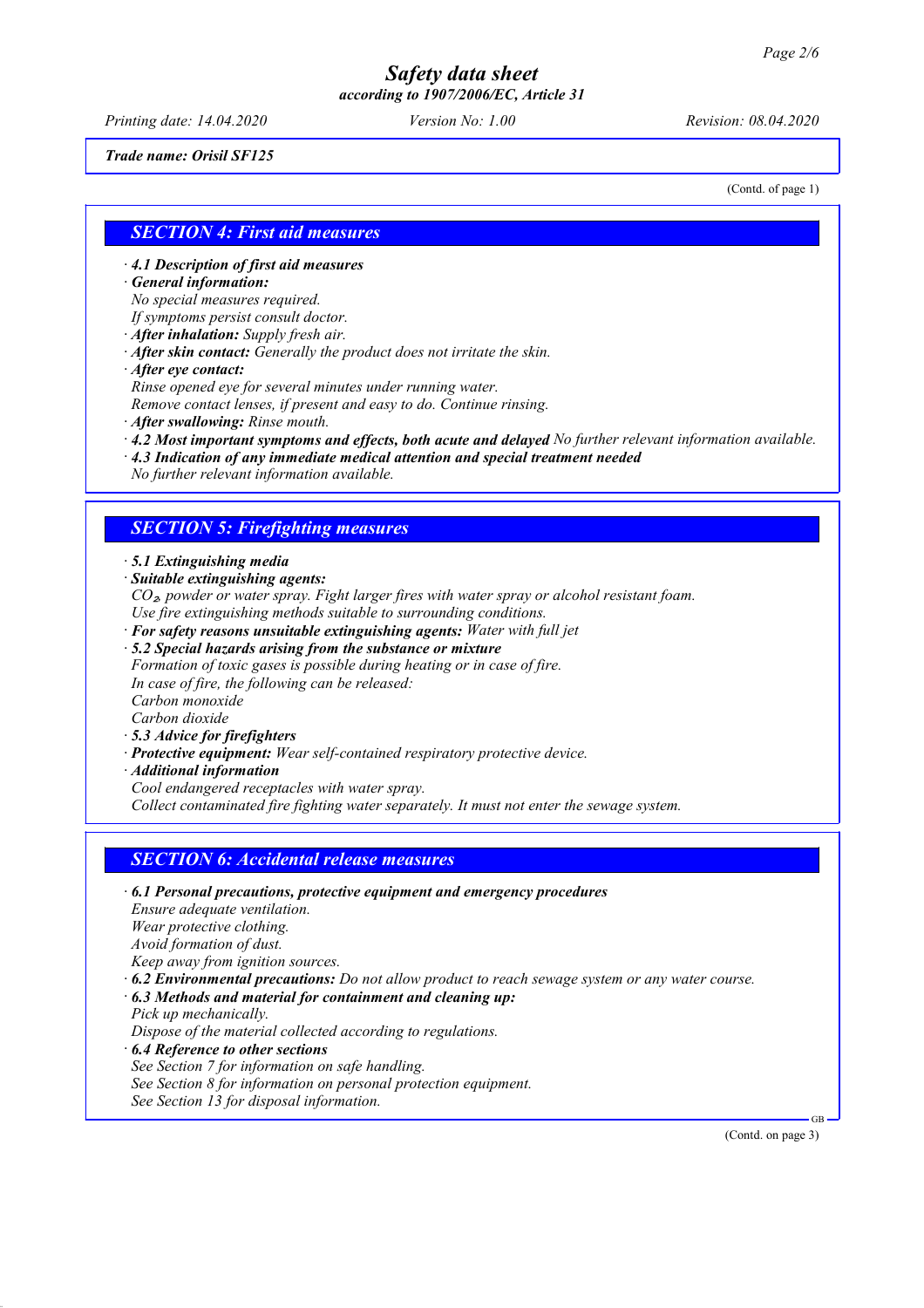*according to 1907/2006/EC, Article 31*

*Printing date: 14.04.2020 Version No: 1.00 Revision: 08.04.2020*

*Trade name: Orisil SF125*

(Contd. of page 1)

### *SECTION 4: First aid measures*

*· 4.1 Description of first aid measures*

*· General information:*

*No special measures required.*

*If symptoms persist consult doctor.*

*· After inhalation: Supply fresh air.*

*· After skin contact: Generally the product does not irritate the skin.*

*· After eye contact:*

*Rinse opened eye for several minutes under running water.*

*Remove contact lenses, if present and easy to do. Continue rinsing.*

*· After swallowing: Rinse mouth.*

*· 4.2 Most important symptoms and effects, both acute and delayed No further relevant information available.*

*· 4.3 Indication of any immediate medical attention and special treatment needed*

*No further relevant information available.*

### *SECTION 5: Firefighting measures*

*· 5.1 Extinguishing media*

*· Suitable extinguishing agents:*

*CO*₂*, powder or water spray. Fight larger fires with water spray or alcohol resistant foam. Use fire extinguishing methods suitable to surrounding conditions.*

- *· For safety reasons unsuitable extinguishing agents: Water with full jet*
- *· 5.2 Special hazards arising from the substance or mixture*

*Formation of toxic gases is possible during heating or in case of fire. In case of fire, the following can be released: Carbon monoxide Carbon dioxide*

- *· 5.3 Advice for firefighters*
- *· Protective equipment: Wear self-contained respiratory protective device.*
- *· Additional information*

*Cool endangered receptacles with water spray.*

*Collect contaminated fire fighting water separately. It must not enter the sewage system.*

### *SECTION 6: Accidental release measures*

*· 6.1 Personal precautions, protective equipment and emergency procedures Ensure adequate ventilation. Wear protective clothing. Avoid formation of dust. Keep away from ignition sources. · 6.2 Environmental precautions: Do not allow product to reach sewage system or any water course. · 6.3 Methods and material for containment and cleaning up: Pick up mechanically. Dispose of the material collected according to regulations.*

*· 6.4 Reference to other sections*

*See Section 7 for information on safe handling. See Section 8 for information on personal protection equipment. See Section 13 for disposal information.*

(Contd. on page 3)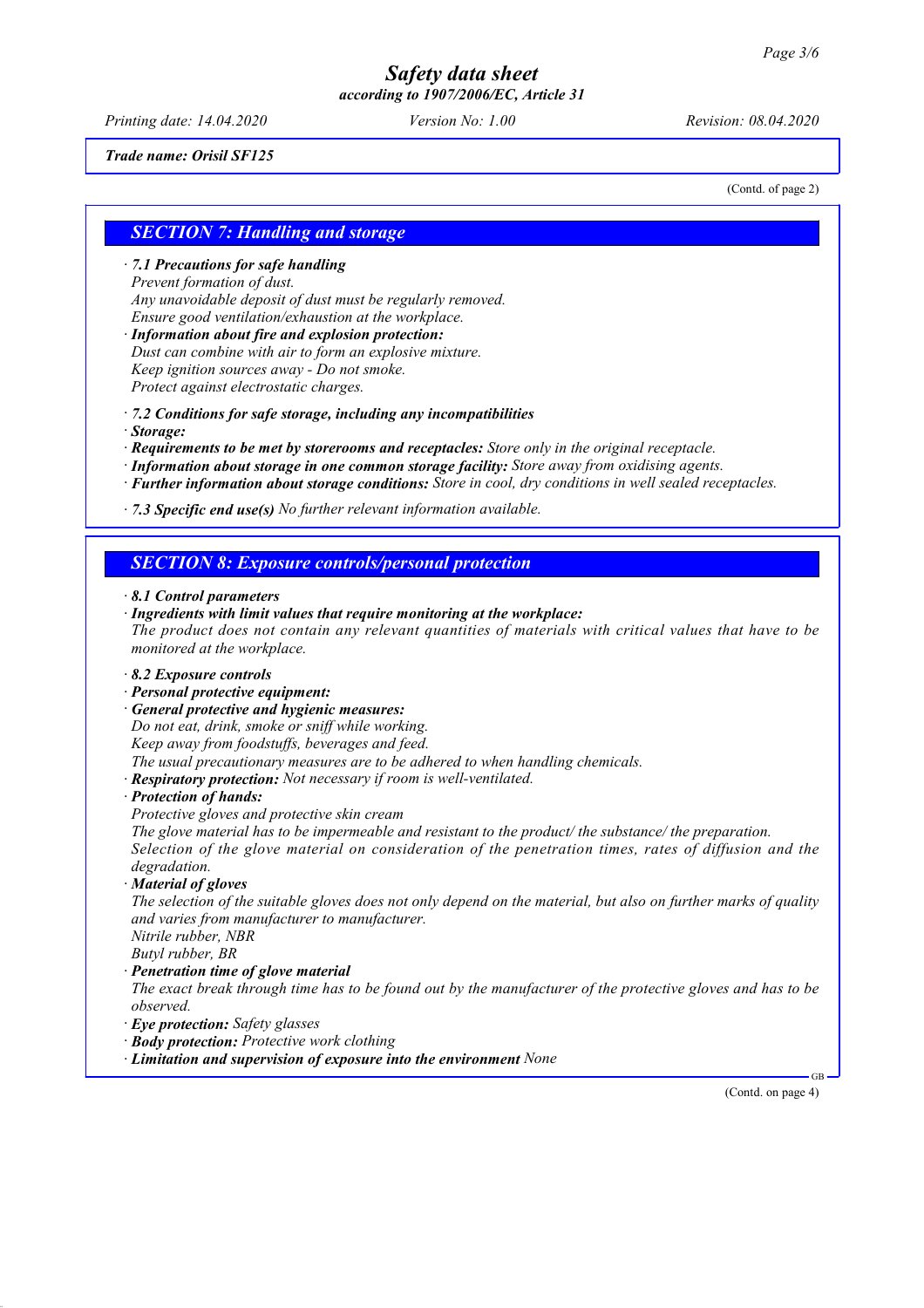*according to 1907/2006/EC, Article 31*

*Printing date: 14.04.2020 Version No: 1.00 Revision: 08.04.2020*

*Trade name: Orisil SF125*

(Contd. of page 2)

### *SECTION 7: Handling and storage*

*· 7.1 Precautions for safe handling Prevent formation of dust. Any unavoidable deposit of dust must be regularly removed. Ensure good ventilation/exhaustion at the workplace.*

*· Information about fire and explosion protection: Dust can combine with air to form an explosive mixture. Keep ignition sources away - Do not smoke. Protect against electrostatic charges.*

*· 7.2 Conditions for safe storage, including any incompatibilities*

*· Storage:*

*· Requirements to be met by storerooms and receptacles: Store only in the original receptacle.*

*· Information about storage in one common storage facility: Store away from oxidising agents.*

*· Further information about storage conditions: Store in cool, dry conditions in well sealed receptacles.*

*· 7.3 Specific end use(s) No further relevant information available.*

### *SECTION 8: Exposure controls/personal protection*

- *· 8.1 Control parameters*
- *· Ingredients with limit values that require monitoring at the workplace: The product does not contain any relevant quantities of materials with critical values that have to be monitored at the workplace.*
- *· 8.2 Exposure controls*
- *· Personal protective equipment:*
- *· General protective and hygienic measures:*

*Do not eat, drink, smoke or sniff while working. Keep away from foodstuffs, beverages and feed.*

*The usual precautionary measures are to be adhered to when handling chemicals.*

*· Respiratory protection: Not necessary if room is well-ventilated.*

*· Protection of hands:*

*Protective gloves and protective skin cream*

*The glove material has to be impermeable and resistant to the product/ the substance/ the preparation. Selection of the glove material on consideration of the penetration times, rates of diffusion and the degradation.*

*· Material of gloves*

*The selection of the suitable gloves does not only depend on the material, but also on further marks of quality and varies from manufacturer to manufacturer.*

*Nitrile rubber, NBR Butyl rubber, BR*

*· Penetration time of glove material*

*The exact break through time has to be found out by the manufacturer of the protective gloves and has to be observed.*

- *· Eye protection: Safety glasses*
- *· Body protection: Protective work clothing*
- *· Limitation and supervision of exposure into the environment None*

(Contd. on page 4)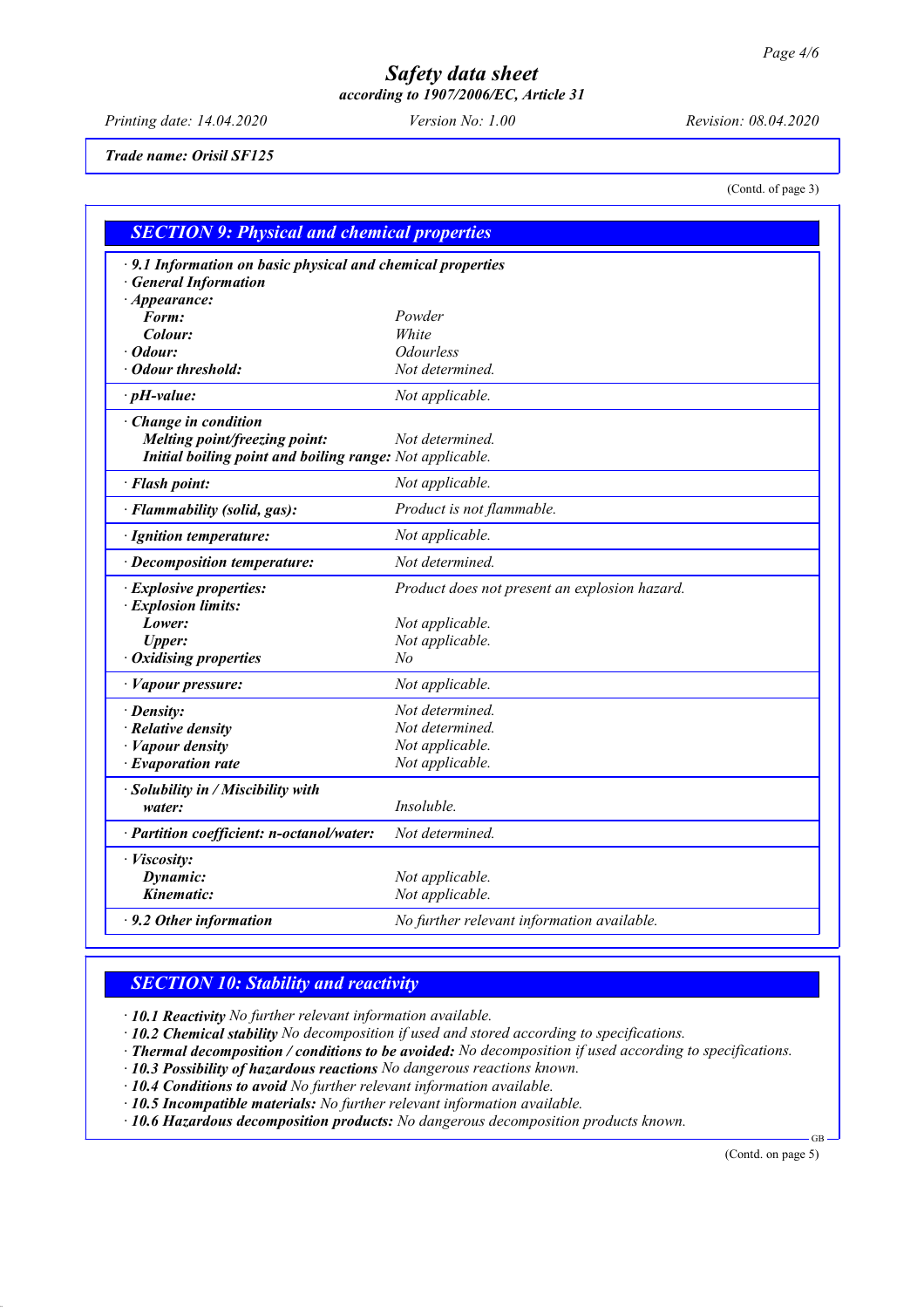*according to 1907/2006/EC, Article 31*

*Printing date: 14.04.2020 Version No: 1.00 Revision: 08.04.2020*

*Trade name: Orisil SF125*

(Contd. of page 3)

| $\cdot$ 9.1 Information on basic physical and chemical properties<br><b>General Information</b> |                                               |
|-------------------------------------------------------------------------------------------------|-----------------------------------------------|
| $\cdot$ Appearance:                                                                             |                                               |
| Form:                                                                                           | Powder                                        |
| Colour:                                                                                         | White                                         |
| $\cdot$ Odour:                                                                                  | <b>Odourless</b>                              |
| · Odour threshold:                                                                              | Not determined.                               |
| $\cdot$ pH-value:                                                                               | Not applicable.                               |
| $\cdot$ Change in condition                                                                     |                                               |
| Melting point/freezing point:                                                                   | Not determined.                               |
| Initial boiling point and boiling range: Not applicable.                                        |                                               |
| · Flash point:                                                                                  | Not applicable.                               |
| · Flammability (solid, gas):                                                                    | Product is not flammable.                     |
| · Ignition temperature:                                                                         | Not applicable.                               |
| · Decomposition temperature:                                                                    | Not determined.                               |
| · Explosive properties:                                                                         | Product does not present an explosion hazard. |
| · Explosion limits:                                                                             |                                               |
| Lower:                                                                                          | Not applicable.                               |
| <b>Upper:</b>                                                                                   | Not applicable.                               |
| · Oxidising properties                                                                          | No                                            |
| · Vapour pressure:                                                                              | Not applicable.                               |
| · Density:                                                                                      | Not determined.                               |
| $\cdot$ Relative density                                                                        | Not determined.                               |
| · Vapour density                                                                                | Not applicable.                               |
| $\cdot$ Evaporation rate                                                                        | Not applicable.                               |
| · Solubility in / Miscibility with                                                              |                                               |
| water:                                                                                          | Insoluble.                                    |
| · Partition coefficient: n-octanol/water:                                                       | Not determined.                               |
| · Viscosity:                                                                                    |                                               |
| Dynamic:                                                                                        | Not applicable.                               |
| Kinematic:                                                                                      | Not applicable.                               |
| $\cdot$ 9.2 Other information                                                                   | No further relevant information available.    |

### *SECTION 10: Stability and reactivity*

*· 10.1 Reactivity No further relevant information available.*

*· 10.2 Chemical stability No decomposition if used and stored according to specifications.*

*· Thermal decomposition / conditions to be avoided: No decomposition if used according to specifications.*

*· 10.3 Possibility of hazardous reactions No dangerous reactions known.*

*· 10.4 Conditions to avoid No further relevant information available.*

*· 10.5 Incompatible materials: No further relevant information available.*

*· 10.6 Hazardous decomposition products: No dangerous decomposition products known.*

(Contd. on page 5)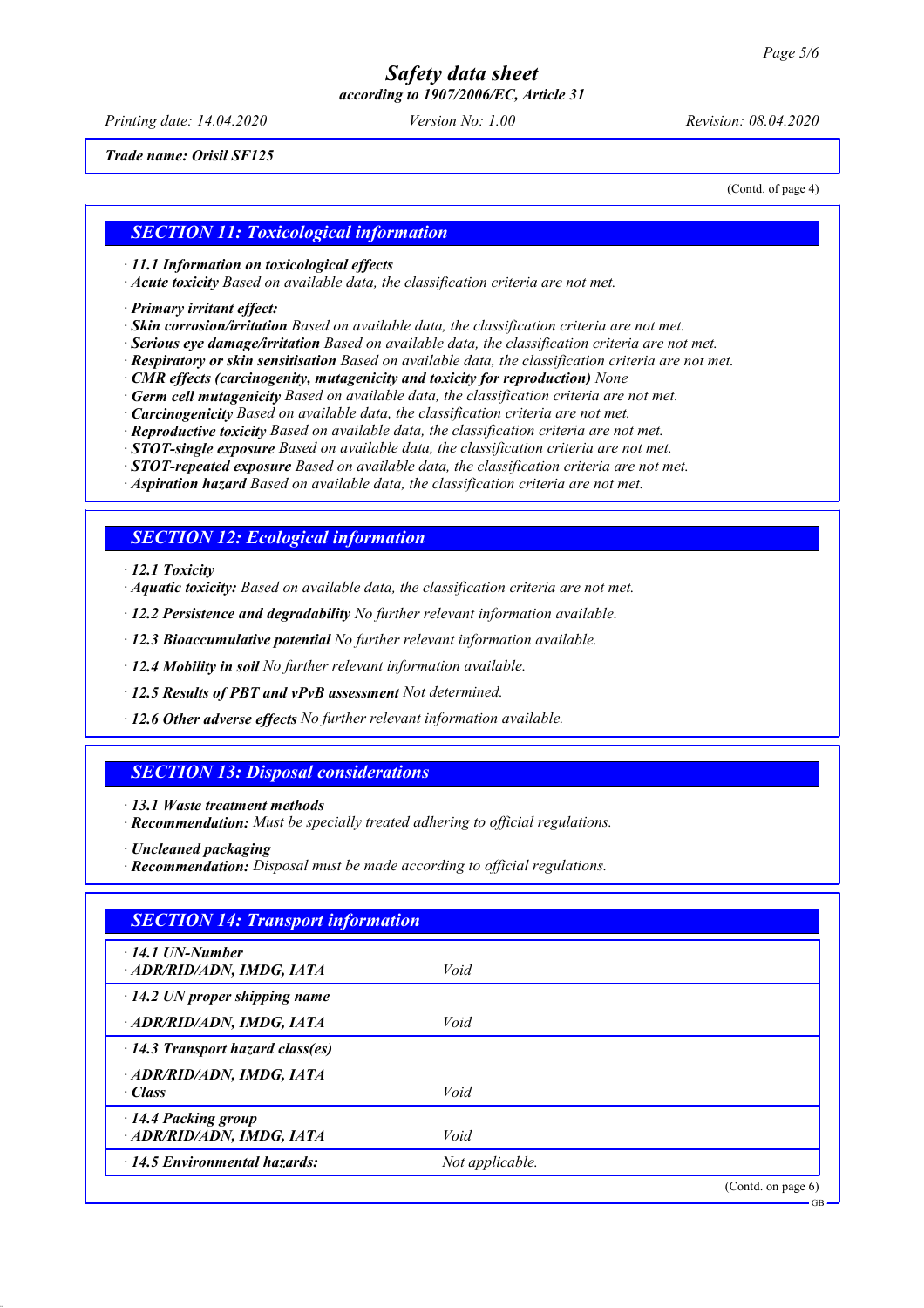*according to 1907/2006/EC, Article 31*

*Printing date: 14.04.2020 Version No: 1.00 Revision: 08.04.2020*

*Trade name: Orisil SF125*

(Contd. of page 4)

### *SECTION 11: Toxicological information*

*· 11.1 Information on toxicological effects*

*· Acute toxicity Based on available data, the classification criteria are not met.*

*· Primary irritant effect:*

*· Skin corrosion/irritation Based on available data, the classification criteria are not met.*

*· Serious eye damage/irritation Based on available data, the classification criteria are not met.*

*· Respiratory or skin sensitisation Based on available data, the classification criteria are not met.*

*· CMR effects (carcinogenity, mutagenicity and toxicity for reproduction) None*

*· Germ cell mutagenicity Based on available data, the classification criteria are not met.*

*· Carcinogenicity Based on available data, the classification criteria are not met.*

*· Reproductive toxicity Based on available data, the classification criteria are not met.*

*· STOT-single exposure Based on available data, the classification criteria are not met.*

*· STOT-repeated exposure Based on available data, the classification criteria are not met.*

*· Aspiration hazard Based on available data, the classification criteria are not met.*

### *SECTION 12: Ecological information*

*· 12.1 Toxicity*

*· Aquatic toxicity: Based on available data, the classification criteria are not met.*

*· 12.2 Persistence and degradability No further relevant information available.*

*· 12.3 Bioaccumulative potential No further relevant information available.*

*· 12.4 Mobility in soil No further relevant information available.*

*· 12.5 Results of PBT and vPvB assessment Not determined.*

*· 12.6 Other adverse effects No further relevant information available.*

### *SECTION 13: Disposal considerations*

*· 13.1 Waste treatment methods*

*· Recommendation: Must be specially treated adhering to official regulations.*

*· Uncleaned packaging*

*<sup>·</sup> Recommendation: Disposal must be made according to official regulations.*

| <b>SECTION 14: Transport information</b>            |                 |                    |
|-----------------------------------------------------|-----------------|--------------------|
| $\cdot$ 14.1 UN-Number<br>· ADR/RID/ADN, IMDG, IATA | Void            |                    |
| $\cdot$ 14.2 UN proper shipping name                |                 |                    |
| · ADR/RID/ADN, IMDG, IATA                           | Void            |                    |
| $\cdot$ 14.3 Transport hazard class(es)             |                 |                    |
| · ADR/RID/ADN, IMDG, IATA<br>· Class                | Void            |                    |
| · 14.4 Packing group<br>· ADR/RID/ADN, IMDG, IATA   | Void            |                    |
| $\cdot$ 14.5 Environmental hazards:                 | Not applicable. |                    |
|                                                     |                 | (Contd. on page 6) |